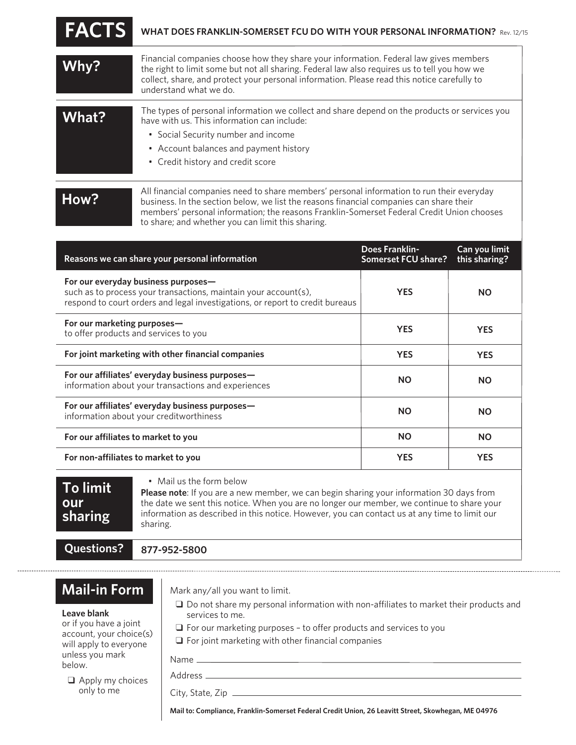| <b>FACTS</b> | WHAT DOES FRANKLIN-SOMERSET FCU DO WITH YOUR PERSONAL INFORMATION? Rev. 12/15                                                                                                                                                                                                                                  |
|--------------|----------------------------------------------------------------------------------------------------------------------------------------------------------------------------------------------------------------------------------------------------------------------------------------------------------------|
| Why?         | Financial companies choose how they share your information. Federal law gives members<br>the right to limit some but not all sharing. Federal law also requires us to tell you how we<br>collect, share, and protect your personal information. Please read this notice carefully to<br>understand what we do. |
| What?        | The types of personal information we collect and share depend on the products or services you<br>have with us. This information can include:<br>• Social Security number and income<br>• Account balances and payment history<br>• Credit history and credit score                                             |
| How?         | All financial companies need to share members' personal information to run their everyday<br>business. In the section below, we list the reasons financial companies can share their<br>members' personal information; the reasons Franklin-Somerset Federal Credit Union chooses                              |

to share; and whether you can limit this sharing.

| Reasons we can share your personal information                                                                                                                                          | Does Franklin-<br>Somerset FCU share? | Can you limit<br>this sharing? |
|-----------------------------------------------------------------------------------------------------------------------------------------------------------------------------------------|---------------------------------------|--------------------------------|
| For our everyday business purposes-<br>such as to process your transactions, maintain your account(s),<br>respond to court orders and legal investigations, or report to credit bureaus | <b>YES</b>                            | <b>NO</b>                      |
| For our marketing purposes-<br>to offer products and services to you                                                                                                                    | <b>YES</b>                            | <b>YES</b>                     |
| For joint marketing with other financial companies                                                                                                                                      | <b>YES</b>                            | <b>YES</b>                     |
| For our affiliates' everyday business purposes-<br>information about your transactions and experiences                                                                                  | <b>NO</b>                             | <b>NO</b>                      |
| For our affiliates' everyday business purposes-<br>information about your creditworthiness                                                                                              | <b>NO</b>                             | <b>NO</b>                      |
| For our affiliates to market to you                                                                                                                                                     | <b>NO</b>                             | <b>NO</b>                      |
| For non-affiliates to market to you                                                                                                                                                     | <b>YES</b>                            | <b>YES</b>                     |

**To limit our sharing**

• Mail us the form below

**Please note**: If you are a new member, we can begin sharing your information 30 days from the date we sent this notice. When you are no longer our member, we continue to share your information as described in this notice. However, you can contact us at any time to limit our sharing.

**Questions?**

**877-952-5800**

## **Mail-in Form**

## **Leave blank**

or if you have a joint account, your choice(s) will apply to everyone unless you mark below.

 $\Box$  Apply my choices only to me

Mark any/all you want to limit.

 $\square$  Do not share my personal information with non-affiliates to market their products and services to me.

- $\Box$  For our marketing purposes to offer products and services to you
- $\Box$  For joint marketing with other financial companies

Name

Address

City, State, Zip

**Mail to: Compliance, Franklin-Somerset Federal Credit Union, 26 Leavitt Street, Skowhegan, ME 04976**